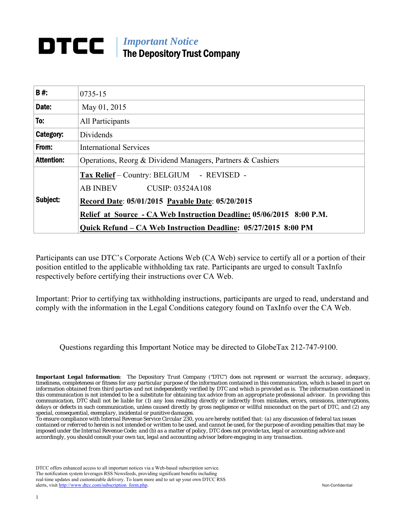# *Important Notice*  The Depository Trust Company

| <b>B#:</b>        | 0735-15                                                              |
|-------------------|----------------------------------------------------------------------|
| Date:             | May 04, 2015                                                         |
| To:               | All Participants                                                     |
| Category:         | Dividends                                                            |
| From:             | <b>International Services</b>                                        |
| <b>Attention:</b> | Operations, Reorg & Dividend Managers, Partners & Cashiers           |
|                   | Tax Relief - Country: BELGIUM - REVISED -                            |
|                   | AB INBEV CUSIP: 03524A108                                            |
| Subject:          | Record Date: 05/01/2015 Payable Date: 05/20/2015                     |
|                   | Relief at Source - CA Web Instruction Deadline: 05/06/2015 8:00 P.M. |
|                   | Quick Refund – CA Web Instruction Deadline: 05/27/2015 8:00 PM       |

Participants can use DTC's Corporate Actions Web (CA Web) service to certify all or a portion of their position entitled to the applicable withholding tax rate. Participants are urged to consult TaxInfo respectively before certifying their instructions over CA Web.

Important: Prior to certifying tax withholding instructions, participants are urged to read, understand and comply with the information in the Legal Conditions category found on TaxInfo over the CA Web.

Questions regarding this Important Notice may be directed to GlobeTax 212-747-9100.

*Important Legal Information: The Depository Trust Company ("DTC") does not represent or warrant the accuracy, adequacy, timeliness, completeness or fitness for any particular purpose of the information contained in this communication, which is based in part on information obtained from third parties and not independently verified by DTC and which is provided as is. The information contained in this communication is not intended to be a substitute for obtaining tax advice from an appropriate professional advisor. In providing this communication, DTC shall not be liable for (1) any loss resulting directly or indirectly from mistakes, errors, omissions, interruptions, delays or defects in such communication, unless caused directly by gross negligence or willful misconduct on the part of DTC, and (2) any special, consequential, exemplary, incidental or punitive damages.* 

*To ensure compliance with Internal Revenue Service Circular 230, you are hereby notified that: (a) any discussion of federal tax issues contained or referred to herein is not intended or written to be used, and cannot be used, for the purpose of avoiding penalties that may be imposed under the Internal Revenue Code; and (b) as a matter of policy, DTC does not provide tax, legal or accounting advice and accordingly, you should consult your own tax, legal and accounting advisor before engaging in any transaction.* 

DTCC offers enhanced access to all important notices via a Web-based subscription service. The notification system leverages RSS Newsfeeds, providing significant benefits including real-time updates and customizable delivery. To learn more and to set up your own DTCC RSS alerts, visit http://www.dtcc.com/subscription\_form.php. Non-Confidential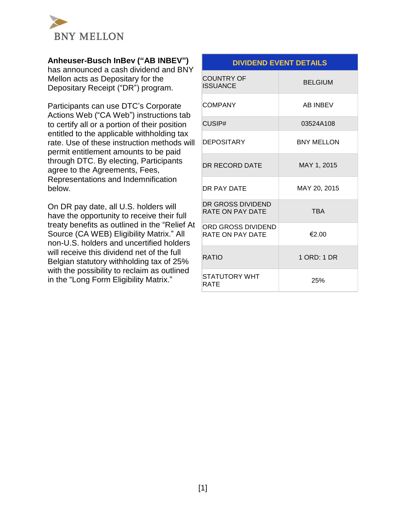

## **Anheuser-Busch InBev ("AB INBEV")**

has announced a cash dividend and BNY Mellon acts as Depositary for the Depositary Receipt ("DR") program.

Participants can use DTC's Corporate Actions Web ("CA Web") instructions tab to certify all or a portion of their position entitled to the applicable withholding tax rate. Use of these instruction methods will permit entitlement amounts to be paid through DTC. By electing, Participants agree to the Agreements, Fees, Representations and Indemnification below.

On DR pay date, all U.S. holders will have the opportunity to receive their full treaty benefits as outlined in the "Relief At Source (CA WEB) Eligibility Matrix." All non-U.S. holders and uncertified holders will receive this dividend net of the full Belgian statutory withholding tax of 25% with the possibility to reclaim as outlined in the "Long Form Eligibility Matrix."

# **DIVIDEND EVENT DETAILS** COUNTRY OF **ISSUANCE** BELGIUM COMPANY AB INBEV CUSIP# 03524A108 DEPOSITARY BNY MELLON DR RECORD DATE MAY 1, 2015 DR PAY DATE MAY 20, 2015 DR GROSS DIVIDEND RATE ON PAY DATE TBA ORD GROSS DIVIDEND RATE ON PAY DATE  $\left| \right|$   $\in$  2.00 RATIO 1 ORD: 1 DR STATUTORY WHT BIATOTOKI WITH 25%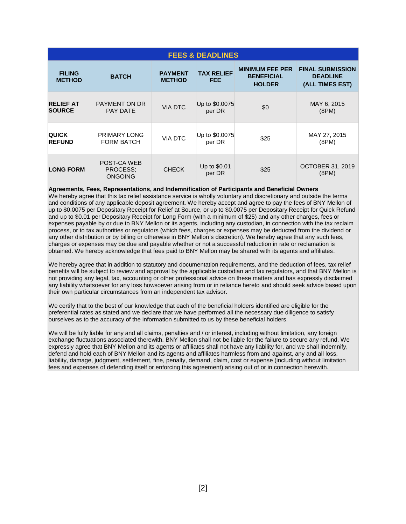| <b>FEES &amp; DEADLINES</b>       |                                           |                                 |                                 |                                                              |                                                               |  |
|-----------------------------------|-------------------------------------------|---------------------------------|---------------------------------|--------------------------------------------------------------|---------------------------------------------------------------|--|
| <b>FILING</b><br><b>METHOD</b>    | <b>BATCH</b>                              | <b>PAYMENT</b><br><b>METHOD</b> | <b>TAX RELIEF</b><br><b>FEE</b> | <b>MINIMUM FEE PER</b><br><b>BENEFICIAL</b><br><b>HOLDER</b> | <b>FINAL SUBMISSION</b><br><b>DEADLINE</b><br>(ALL TIMES EST) |  |
| <b>RELIEF AT</b><br><b>SOURCE</b> | PAYMENT ON DR<br><b>PAY DATE</b>          | <b>VIA DTC</b>                  | Up to \$0.0075<br>per DR        | \$0                                                          | MAY 6, 2015<br>(8PM)                                          |  |
| <b>QUICK</b><br><b>REFUND</b>     | PRIMARY LONG<br><b>FORM BATCH</b>         | <b>VIA DTC</b>                  | Up to \$0.0075<br>per DR        | \$25                                                         | MAY 27, 2015<br>(8PM)                                         |  |
| <b>LONG FORM</b>                  | POST-CA WEB<br>PROCESS;<br><b>ONGOING</b> | <b>CHECK</b>                    | Up to \$0.01<br>per DR          | \$25                                                         | <b>OCTOBER 31, 2019</b><br>(8PM)                              |  |

**Agreements, Fees, Representations, and Indemnification of Participants and Beneficial Owners**  We hereby agree that this tax relief assistance service is wholly voluntary and discretionary and outside the terms and conditions of any applicable deposit agreement. We hereby accept and agree to pay the fees of BNY Mellon of up to \$0.0075 per Depositary Receipt for Relief at Source, or up to \$0.0075 per Depositary Receipt for Quick Refund and up to \$0.01 per Depositary Receipt for Long Form (with a minimum of \$25) and any other charges, fees or expenses payable by or due to BNY Mellon or its agents, including any custodian, in connection with the tax reclaim process, or to tax authorities or regulators (which fees, charges or expenses may be deducted from the dividend or

any other distribution or by billing or otherwise in BNY Mellon's discretion). We hereby agree that any such fees, charges or expenses may be due and payable whether or not a successful reduction in rate or reclamation is obtained. We hereby acknowledge that fees paid to BNY Mellon may be shared with its agents and affiliates.

We hereby agree that in addition to statutory and documentation requirements, and the deduction of fees, tax relief benefits will be subject to review and approval by the applicable custodian and tax regulators, and that BNY Mellon is not providing any legal, tax, accounting or other professional advice on these matters and has expressly disclaimed any liability whatsoever for any loss howsoever arising from or in reliance hereto and should seek advice based upon their own particular circumstances from an independent tax advisor.

We certify that to the best of our knowledge that each of the beneficial holders identified are eligible for the preferential rates as stated and we declare that we have performed all the necessary due diligence to satisfy ourselves as to the accuracy of the information submitted to us by these beneficial holders.

We will be fully liable for any and all claims, penalties and / or interest, including without limitation, any foreign exchange fluctuations associated therewith. BNY Mellon shall not be liable for the failure to secure any refund. We expressly agree that BNY Mellon and its agents or affiliates shall not have any liability for, and we shall indemnify, defend and hold each of BNY Mellon and its agents and affiliates harmless from and against, any and all loss, liability, damage, judgment, settlement, fine, penalty, demand, claim, cost or expense (including without limitation fees and expenses of defending itself or enforcing this agreement) arising out of or in connection herewith.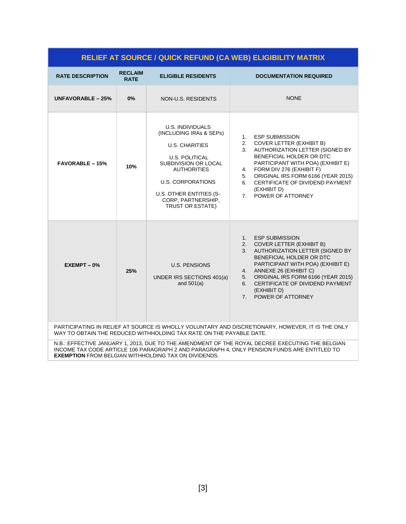| <b>RELIEF AT SOURCE / QUICK REFUND (CA WEB) ELIGIBILITY MATRIX</b>                                                                                                      |                               |                                                                                                                                                                                                                                              |                                                                                                                                                                                                                                                                                                                                                             |  |  |  |
|-------------------------------------------------------------------------------------------------------------------------------------------------------------------------|-------------------------------|----------------------------------------------------------------------------------------------------------------------------------------------------------------------------------------------------------------------------------------------|-------------------------------------------------------------------------------------------------------------------------------------------------------------------------------------------------------------------------------------------------------------------------------------------------------------------------------------------------------------|--|--|--|
| <b>RATE DESCRIPTION</b>                                                                                                                                                 | <b>RECLAIM</b><br><b>RATE</b> | <b>ELIGIBLE RESIDENTS</b>                                                                                                                                                                                                                    | <b>DOCUMENTATION REQUIRED</b>                                                                                                                                                                                                                                                                                                                               |  |  |  |
| UNFAVORABLE - 25%                                                                                                                                                       | 0%                            | NON-U.S. RESIDENTS                                                                                                                                                                                                                           | <b>NONE</b>                                                                                                                                                                                                                                                                                                                                                 |  |  |  |
| <b>FAVORABLE - 15%</b>                                                                                                                                                  | 10%                           | U.S. INDIVIDUALS<br>(INCLUDING IRAs & SEPs)<br><b>U.S. CHARITIES</b><br><b>U.S. POLITICAL</b><br>SUBDIVISION OR LOCAL<br><b>AUTHORITIES</b><br><b>U.S. CORPORATIONS</b><br>U.S. OTHER ENTITIES (S-<br>CORP, PARTNERSHIP,<br>TRUST OR ESTATE) | <b>ESP SUBMISSION</b><br>1.<br><b>COVER LETTER (EXHIBIT B)</b><br>2.<br>AUTHORIZATION LETTER (SIGNED BY<br>3.<br>BENEFICIAL HOLDER OR DTC<br>PARTICIPANT WITH POA) (EXHIBIT E)<br>FORM DIV 276 (EXHIBIT F)<br>4.<br>ORIGINAL IRS FORM 6166 (YEAR 2015)<br>5.<br>CERTIFICATE OF DIVIDEND PAYMENT<br>6.<br>(EXHIBIT D)<br>POWER OF ATTORNEY<br>7 <sub>1</sub> |  |  |  |
| $EXEMENT - 0%$                                                                                                                                                          | 25%                           | <b>U.S. PENSIONS</b><br>UNDER IRS SECTIONS 401(a)<br>and $501(a)$                                                                                                                                                                            | <b>ESP SUBMISSION</b><br>1.<br><b>COVER LETTER (EXHIBIT B)</b><br>2.<br>AUTHORIZATION LETTER (SIGNED BY<br>3.<br>BENEFICIAL HOLDER OR DTC<br>PARTICIPANT WITH POA) (EXHIBIT E)<br>ANNEXE 26 (EXHIBIT C)<br>4.<br>ORIGINAL IRS FORM 6166 (YEAR 2015)<br>5.<br>CERTIFICATE OF DIVIDEND PAYMENT<br>6.<br>(EXHIBIT D)<br>POWER OF ATTORNEY<br>7 <sup>1</sup>    |  |  |  |
| PARTICIPATING IN RELIEF AT SOURCE IS WHOLLY VOLUNTARY AND DISCRETIONARY, HOWEVER, IT IS THE ONLY<br>WAY TO OBTAIN THE REDUCED WITHHOLDING TAX RATE ON THE PAYABLE DATE. |                               |                                                                                                                                                                                                                                              |                                                                                                                                                                                                                                                                                                                                                             |  |  |  |

N.B.: EFFECTIVE JANUARY 1, 2013, DUE TO THE AMENDMENT OF THE ROYAL DECREE EXECUTING THE BELGIAN INCOME TAX CODE ARTICLE 106 PARAGRAPH 2 AND PARAGRAPH 4, ONLY PENSION FUNDS ARE ENTITLED TO **EXEMPTION** FROM BELGIAN WITHHOLDING TAX ON DIVIDENDS.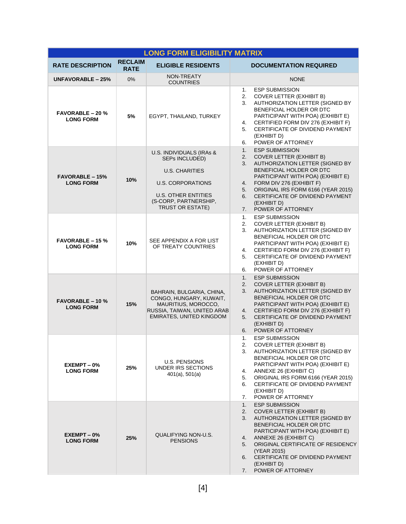| <b>LONG FORM ELIGIBILITY MATRIX</b>         |                               |                                                                                                                                                                                   |                                                                                                                                                                                                                                                                                                                                                            |  |  |
|---------------------------------------------|-------------------------------|-----------------------------------------------------------------------------------------------------------------------------------------------------------------------------------|------------------------------------------------------------------------------------------------------------------------------------------------------------------------------------------------------------------------------------------------------------------------------------------------------------------------------------------------------------|--|--|
| <b>RATE DESCRIPTION</b>                     | <b>RECLAIM</b><br><b>RATE</b> | <b>ELIGIBLE RESIDENTS</b>                                                                                                                                                         | <b>DOCUMENTATION REQUIRED</b>                                                                                                                                                                                                                                                                                                                              |  |  |
| UNFAVORABLE - 25%                           | 0%                            | NON-TREATY<br><b>COUNTRIES</b>                                                                                                                                                    | <b>NONE</b>                                                                                                                                                                                                                                                                                                                                                |  |  |
| <b>FAVORABLE - 20 %</b><br><b>LONG FORM</b> | 5%                            | EGYPT, THAILAND, TURKEY                                                                                                                                                           | <b>ESP SUBMISSION</b><br>1.<br><b>COVER LETTER (EXHIBIT B)</b><br>2.<br>3.<br>AUTHORIZATION LETTER (SIGNED BY<br>BENEFICIAL HOLDER OR DTC<br>PARTICIPANT WITH POA) (EXHIBIT E)<br>CERTIFIED FORM DIV 276 (EXHIBIT F)<br>4.<br>CERTIFICATE OF DIVIDEND PAYMENT<br>5.<br>(EXHIBIT D)<br>POWER OF ATTORNEY<br>6.                                              |  |  |
| <b>FAVORABLE - 15%</b><br><b>LONG FORM</b>  | 10%                           | U.S. INDIVIDUALS (IRAs &<br>SEPs INCLUDED)<br><b>U.S. CHARITIES</b><br><b>U.S. CORPORATIONS</b><br><b>U.S. OTHER ENTITIES</b><br>(S-CORP, PARTNERSHIP,<br><b>TRUST OR ESTATE)</b> | <b>ESP SUBMISSION</b><br>1.<br><b>COVER LETTER (EXHIBIT B)</b><br>2.<br>AUTHORIZATION LETTER (SIGNED BY<br>3.<br>BENEFICIAL HOLDER OR DTC<br>PARTICIPANT WITH POA) (EXHIBIT E)<br>FORM DIV 276 (EXHIBIT F)<br>4.<br>ORIGINAL IRS FORM 6166 (YEAR 2015)<br>5.<br>CERTIFICATE OF DIVIDEND PAYMENT<br>6.<br>(EXHIBIT D)<br>POWER OF ATTORNEY<br>7.            |  |  |
| $FAVORABLE - 15%$<br><b>LONG FORM</b>       | 10%                           | SEE APPENDIX A FOR LIST<br>OF TREATY COUNTRIES                                                                                                                                    | <b>ESP SUBMISSION</b><br>1.<br><b>COVER LETTER (EXHIBIT B)</b><br>2.<br>AUTHORIZATION LETTER (SIGNED BY<br>3.<br>BENEFICIAL HOLDER OR DTC<br>PARTICIPANT WITH POA) (EXHIBIT E)<br>CERTIFIED FORM DIV 276 (EXHIBIT F)<br>4.<br>CERTIFICATE OF DIVIDEND PAYMENT<br>5.<br>(EXHIBIT D)<br>POWER OF ATTORNEY<br>6.                                              |  |  |
| <b>FAVORABLE - 10 %</b><br><b>LONG FORM</b> | 15%                           | BAHRAIN, BULGARIA, CHINA,<br>CONGO, HUNGARY, KUWAIT,<br>MAURITIUS, MOROCCO,<br>RUSSIA, TAIWAN, UNITED ARAB<br><b>EMIRATES, UNITED KINGDOM</b>                                     | <b>ESP SUBMISSION</b><br>1.<br><b>COVER LETTER (EXHIBIT B)</b><br>2.<br>3.<br>AUTHORIZATION LETTER (SIGNED BY<br>BENEFICIAL HOLDER OR DTC<br>PARTICIPANT WITH POA) (EXHIBIT E)<br>CERTIFIED FORM DIV 276 (EXHIBIT F)<br>4.<br>CERTIFICATE OF DIVIDEND PAYMENT<br>5.<br>(EXHIBIT D)<br>POWER OF ATTORNEY<br>6.                                              |  |  |
| EXEMPT-0%<br><b>LONG FORM</b>               | 25%                           | <b>U.S. PENSIONS</b><br>UNDER IRS SECTIONS<br>$401(a)$ , $501(a)$                                                                                                                 | <b>ESP SUBMISSION</b><br>1.<br>2. COVER LETTER (EXHIBIT B)<br>3. AUTHORIZATION LETTER (SIGNED BY<br>BENEFICIAL HOLDER OR DTC<br>PARTICIPANT WITH POA) (EXHIBIT E)<br>ANNEXE 26 (EXHIBIT C)<br>4.<br>ORIGINAL IRS FORM 6166 (YEAR 2015)<br>5.<br>CERTIFICATE OF DIVIDEND PAYMENT<br>6.<br>(EXHIBIT D)<br>POWER OF ATTORNEY<br>7.                            |  |  |
| EXEMPT-0%<br><b>LONG FORM</b>               | 25%                           | QUALIFYING NON-U.S.<br><b>PENSIONS</b>                                                                                                                                            | <b>ESP SUBMISSION</b><br>1.<br><b>COVER LETTER (EXHIBIT B)</b><br>2.<br>AUTHORIZATION LETTER (SIGNED BY<br>3.<br>BENEFICIAL HOLDER OR DTC<br>PARTICIPANT WITH POA) (EXHIBIT E)<br>ANNEXE 26 (EXHIBIT C)<br>4.<br>ORIGINAL CERTIFICATE OF RESIDENCY<br>5.<br>(YEAR 2015)<br>CERTIFICATE OF DIVIDEND PAYMENT<br>6.<br>(EXHIBIT D)<br>POWER OF ATTORNEY<br>7. |  |  |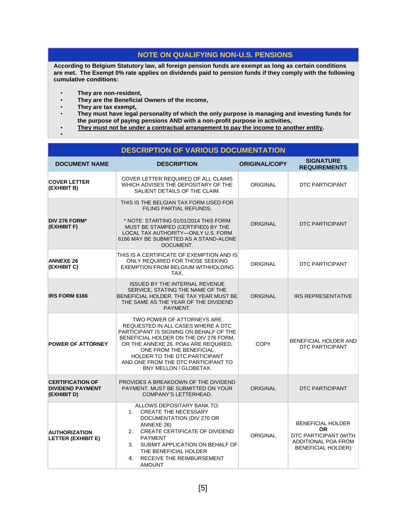### **NOTE ON QUALIFYING NON-U.S. PENSIONS**

**According to Belgium Statutory law, all foreign pension funds are exempt as long as certain conditions are met. The Exempt 0% rate applies on dividends paid to pension funds if they comply with the following cumulative conditions:**

- **They are non-resident,**
- **They are the Beneficial Owners of the income,**
- **They are tax exempt,**
- **They must have legal personality of which the only purpose is managing and investing funds for the purpose of paying pensions AND with a non-profit purpose in activities,**
- **They must not be under a contractual arrangement to pay the income to another entity.** •

|                                                                   | <b>DESCRIPTION OF VARIOUS DOCUMENTATION</b>                                                                                                                                                                                                                                                                                |                      |                                                                                                              |
|-------------------------------------------------------------------|----------------------------------------------------------------------------------------------------------------------------------------------------------------------------------------------------------------------------------------------------------------------------------------------------------------------------|----------------------|--------------------------------------------------------------------------------------------------------------|
| <b>DOCUMENT NAME</b>                                              | <b>DESCRIPTION</b>                                                                                                                                                                                                                                                                                                         | <b>ORIGINAL/COPY</b> | <b>SIGNATURE</b><br><b>REQUIREMENTS</b>                                                                      |
| <b>COVER LETTER</b><br>(EXHIBIT B)                                | COVER LETTER REQUIRED OF ALL CLAIMS<br>WHICH ADVISES THE DEPOSITARY OF THE<br>SALIENT DETAILS OF THE CLAIM.                                                                                                                                                                                                                | <b>ORIGINAL</b>      | <b>DTC PARTICIPANT</b>                                                                                       |
| DIV 276 FORM*<br>(EXHIBIT F)                                      | THIS IS THE BELGIAN TAX FORM USED FOR<br>FILING PARTIAL REFUNDS.<br>* NOTE: STARTING 01/01/2014 THIS FORM<br>MUST BE STAMPED (CERTIFIED) BY THE<br>LOCAL TAX AUTHORITY-ONLY U.S. FORM<br>6166 MAY BE SUBMITTED AS A STAND-ALONE<br>DOCUMENT.                                                                               | <b>ORIGINAL</b>      | <b>DTC PARTICIPANT</b>                                                                                       |
| <b>ANNEXE 26</b><br>(EXHIBIT C)                                   | THIS IS A CERTIFICATE OF EXEMPTION AND IS<br>ONLY REQUIRED FOR THOSE SEEKING<br><b>EXEMPTION FROM BELGIUM WITHHOLDING</b><br>TAX.                                                                                                                                                                                          | <b>ORIGINAL</b>      | DTC PARTICIPANT                                                                                              |
| <b>IRS FORM 6166</b>                                              | <b>ISSUED BY THE INTERNAL REVENUE</b><br>SERVICE, STATING THE NAME OF THE<br>BENEFICIAL HOLDER. THE TAX YEAR MUST BE<br>THE SAME AS THE YEAR OF THE DIVIDEND<br>PAYMENT.                                                                                                                                                   | <b>ORIGINAL</b>      | <b>IRS REPRESENTATIVE</b>                                                                                    |
| <b>POWER OF ATTORNEY</b>                                          | TWO POWER OF ATTORNEYS ARE<br>REQUESTED IN ALL CASES WHERE A DTC<br>PARTICIPANT IS SIGNING ON BEHALF OF THE<br>BENEFICIAL HOLDER ON THE DIV 276 FORM.<br>OR THE ANNEXE 26. POAS ARE REQUIRED.<br>ONE FROM THE BENEFICIAL<br>HOLDER TO THE DTC PARTICIPANT<br>AND ONE FROM THE DTC PARTICIPANT TO<br>BNY MELLON / GLOBETAX. | <b>COPY</b>          | <b>BENEFICIAL HOLDER AND</b><br><b>DTC PARTICIPANT</b>                                                       |
| <b>CERTIFICATION OF</b><br><b>DIVIDEND PAYMENT</b><br>(EXHIBIT D) | PROVIDES A BREAKDOWN OF THE DIVIDEND<br>PAYMENT. MUST BE SUBMITTED ON YOUR<br>COMPANY'S LETTERHEAD.                                                                                                                                                                                                                        | <b>ORIGINAL</b>      | <b>DTC PARTICIPANT</b>                                                                                       |
| <b>AUTHORIZATION</b><br><b>LETTER (EXHIBIT E)</b>                 | ALLOWS DEPOSITARY BANK TO:<br><b>CREATE THE NECESSARY</b><br>1.<br>DOCUMENTATION (DIV 276 OR<br>ANNEXE 26)<br>2. CREATE CERTIFICATE OF DIVIDEND<br><b>PAYMENT</b><br>SUBMIT APPLICATION ON BEHALF OF<br>3.<br>THE BENEFICIAL HOLDER<br><b>RECEIVE THE REIMBURSEMENT</b><br>4.<br><b>AMOUNT</b>                             | <b>ORIGINAL</b>      | <b>BENEFICIAL HOLDER</b><br>OR.<br>DTC PARTICIPANT (WITH<br>ADDITIONAL POA FROM<br><b>BENEFICIAL HOLDER)</b> |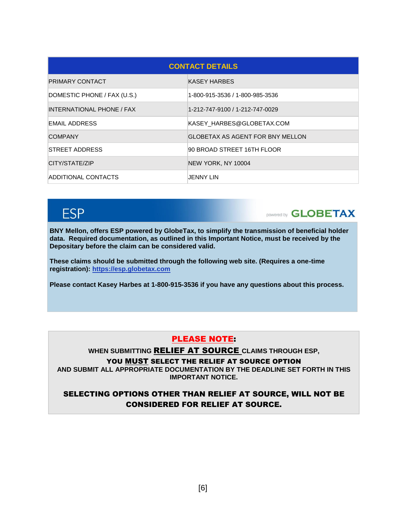| <b>CONTACT DETAILS</b>      |                                  |  |  |  |
|-----------------------------|----------------------------------|--|--|--|
| PRIMARY CONTACT             | KASEY HARBES                     |  |  |  |
| DOMESTIC PHONE / FAX (U.S.) | 1-800-915-3536 / 1-800-985-3536  |  |  |  |
| INTERNATIONAL PHONE / FAX   | 1-212-747-9100 / 1-212-747-0029  |  |  |  |
| <b>EMAIL ADDRESS</b>        | KASEY HARBES@GLOBETAX.COM        |  |  |  |
| <b>COMPANY</b>              | GLOBETAX AS AGENT FOR BNY MELLON |  |  |  |
| <b>STREET ADDRESS</b>       | 90 BROAD STREET 16TH FLOOR       |  |  |  |
| CITY/STATE/ZIP              | NEW YORK, NY 10004               |  |  |  |
| ADDITIONAL CONTACTS         | JENNY LIN                        |  |  |  |

# **ESP**

**DOWERED GLOBETAX** 

**BNY Mellon, offers ESP powered by GlobeTax, to simplify the transmission of beneficial holder data. Required documentation, as outlined in this Important Notice, must be received by the Depositary before the claim can be considered valid.** 

**These claims should be submitted through the following web site. (Requires a one-time registration): [https://esp.globetax.com](https://esp.globetax.com/)**

**Please contact Kasey Harbes at 1-800-915-3536 if you have any questions about this process.**

### PLEASE NOTE:

**WHEN SUBMITTING** RELIEF AT SOURCE **CLAIMS THROUGH ESP,** 

YOU MUST SELECT THE RELIEF AT SOURCE OPTION

**AND SUBMIT ALL APPROPRIATE DOCUMENTATION BY THE DEADLINE SET FORTH IN THIS IMPORTANT NOTICE.**

SELECTING OPTIONS OTHER THAN RELIEF AT SOURCE, WILL NOT BE CONSIDERED FOR RELIEF AT SOURCE.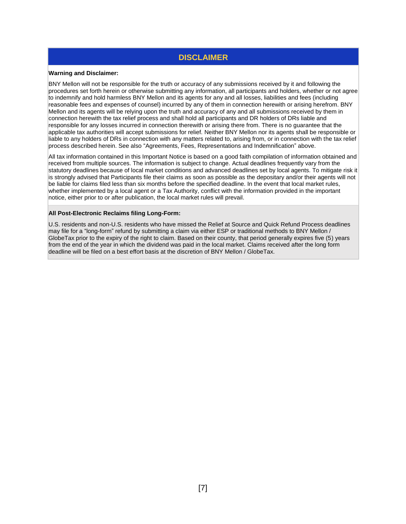# **DISCLAIMER**

#### **Warning and Disclaimer:**

BNY Mellon will not be responsible for the truth or accuracy of any submissions received by it and following the procedures set forth herein or otherwise submitting any information, all participants and holders, whether or not agree to indemnify and hold harmless BNY Mellon and its agents for any and all losses, liabilities and fees (including reasonable fees and expenses of counsel) incurred by any of them in connection herewith or arising herefrom. BNY Mellon and its agents will be relying upon the truth and accuracy of any and all submissions received by them in connection herewith the tax relief process and shall hold all participants and DR holders of DRs liable and responsible for any losses incurred in connection therewith or arising there from. There is no guarantee that the applicable tax authorities will accept submissions for relief. Neither BNY Mellon nor its agents shall be responsible or liable to any holders of DRs in connection with any matters related to, arising from, or in connection with the tax relief process described herein. See also "Agreements, Fees, Representations and Indemnification" above.

All tax information contained in this Important Notice is based on a good faith compilation of information obtained and received from multiple sources. The information is subject to change. Actual deadlines frequently vary from the statutory deadlines because of local market conditions and advanced deadlines set by local agents. To mitigate risk it is strongly advised that Participants file their claims as soon as possible as the depositary and/or their agents will not be liable for claims filed less than six months before the specified deadline. In the event that local market rules, whether implemented by a local agent or a Tax Authority, conflict with the information provided in the important notice, either prior to or after publication, the local market rules will prevail.

#### **All Post-Electronic Reclaims filing Long-Form:**

U.S. residents and non-U.S. residents who have missed the Relief at Source and Quick Refund Process deadlines may file for a "long-form" refund by submitting a claim via either ESP or traditional methods to BNY Mellon / GlobeTax prior to the expiry of the right to claim. Based on their county, that period generally expires five (5) years from the end of the year in which the dividend was paid in the local market. Claims received after the long form deadline will be filed on a best effort basis at the discretion of BNY Mellon / GlobeTax.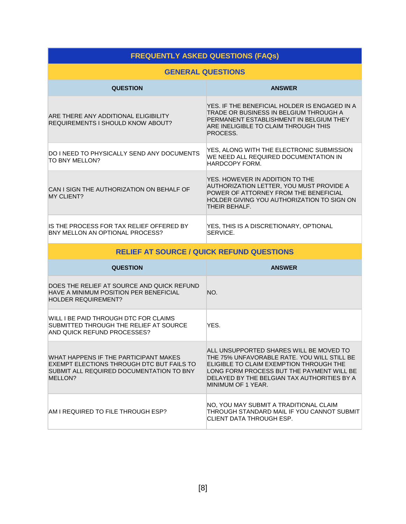| <b>FREQUENTLY ASKED QUESTIONS (FAQs)</b>                                         |                                                                                                                                                                                        |  |  |  |
|----------------------------------------------------------------------------------|----------------------------------------------------------------------------------------------------------------------------------------------------------------------------------------|--|--|--|
| <b>GENERAL QUESTIONS</b>                                                         |                                                                                                                                                                                        |  |  |  |
| <b>QUESTION</b>                                                                  | <b>ANSWER</b>                                                                                                                                                                          |  |  |  |
| ARE THERE ANY ADDITIONAL ELIGIBILITY<br><b>REQUIREMENTS I SHOULD KNOW ABOUT?</b> | YES. IF THE BENEFICIAL HOLDER IS ENGAGED IN A<br>TRADE OR BUSINESS IN BELGIUM THROUGH A<br>PERMANENT ESTABLISHMENT IN BELGIUM THEY<br>ARE INELIGIBLE TO CLAIM THROUGH THIS<br>PROCESS. |  |  |  |
| DO I NEED TO PHYSICALLY SEND ANY DOCUMENTS<br>TO BNY MELLON?                     | YES, ALONG WITH THE ELECTRONIC SUBMISSION<br>WE NEED ALL REQUIRED DOCUMENTATION IN<br>HARDCOPY FORM.                                                                                   |  |  |  |
| CAN I SIGN THE AUTHORIZATION ON BEHALF OF<br><b>MY CLIENT?</b>                   | YES. HOWEVER IN ADDITION TO THE<br>AUTHORIZATION LETTER, YOU MUST PROVIDE A<br>POWER OF ATTORNEY FROM THE BENEFICIAL<br>HOLDER GIVING YOU AUTHORIZATION TO SIGN ON<br>THEIR BEHALF.    |  |  |  |
| IS THE PROCESS FOR TAX RELIEF OFFERED BY<br>BNY MELLON AN OPTIONAL PROCESS?      | YES, THIS IS A DISCRETIONARY, OPTIONAL<br>SERVICE.                                                                                                                                     |  |  |  |

| <b>RELIEF AT SOURCE / QUICK REFUND QUESTIONS</b>                                                                                          |                                                                                                                                                                                                                                                     |  |  |
|-------------------------------------------------------------------------------------------------------------------------------------------|-----------------------------------------------------------------------------------------------------------------------------------------------------------------------------------------------------------------------------------------------------|--|--|
| <b>QUESTION</b>                                                                                                                           | <b>ANSWER</b>                                                                                                                                                                                                                                       |  |  |
| DOES THE RELIEF AT SOURCE AND QUICK REFUND<br>HAVE A MINIMUM POSITION PER BENEFICIAL<br><b>HOLDER REQUIREMENT?</b>                        | NO.                                                                                                                                                                                                                                                 |  |  |
| WILL I BE PAID THROUGH DTC FOR CLAIMS<br>SUBMITTED THROUGH THE RELIEF AT SOURCE<br>AND QUICK REFUND PROCESSES?                            | YES.                                                                                                                                                                                                                                                |  |  |
| WHAT HAPPENS IF THE PARTICIPANT MAKES<br>EXEMPT ELECTIONS THROUGH DTC BUT FAILS TO<br>SUBMIT ALL REQUIRED DOCUMENTATION TO BNY<br>MELLON? | ALL UNSUPPORTED SHARES WILL BE MOVED TO<br>THE 75% UNFAVORABLE RATE. YOU WILL STILL BE<br>ELIGIBLE TO CLAIM EXEMPTION THROUGH THE<br>LONG FORM PROCESS BUT THE PAYMENT WILL BE<br>DELAYED BY THE BELGIAN TAX AUTHORITIES BY A<br>MINIMUM OF 1 YEAR. |  |  |
| AM I REQUIRED TO FILE THROUGH ESP?                                                                                                        | NO, YOU MAY SUBMIT A TRADITIONAL CLAIM<br>THROUGH STANDARD MAIL IF YOU CANNOT SUBMIT<br>CLIENT DATA THROUGH ESP.                                                                                                                                    |  |  |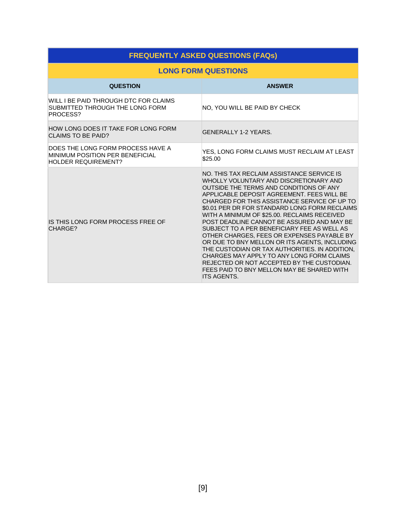| <b>FREQUENTLY ASKED QUESTIONS (FAQs)</b>                                                           |                                                                                                                                                                                                                                                                                                                                                                                                                                                                                                                                                                                                                                                                                                                                             |  |  |
|----------------------------------------------------------------------------------------------------|---------------------------------------------------------------------------------------------------------------------------------------------------------------------------------------------------------------------------------------------------------------------------------------------------------------------------------------------------------------------------------------------------------------------------------------------------------------------------------------------------------------------------------------------------------------------------------------------------------------------------------------------------------------------------------------------------------------------------------------------|--|--|
| <b>LONG FORM QUESTIONS</b>                                                                         |                                                                                                                                                                                                                                                                                                                                                                                                                                                                                                                                                                                                                                                                                                                                             |  |  |
| <b>QUESTION</b>                                                                                    | <b>ANSWER</b>                                                                                                                                                                                                                                                                                                                                                                                                                                                                                                                                                                                                                                                                                                                               |  |  |
| WILL I BE PAID THROUGH DTC FOR CLAIMS<br>SUBMITTED THROUGH THE LONG FORM<br>PROCESS?               | NO, YOU WILL BE PAID BY CHECK                                                                                                                                                                                                                                                                                                                                                                                                                                                                                                                                                                                                                                                                                                               |  |  |
| HOW LONG DOES IT TAKE FOR LONG FORM<br><b>CLAIMS TO BE PAID?</b>                                   | <b>GENERALLY 1-2 YEARS.</b>                                                                                                                                                                                                                                                                                                                                                                                                                                                                                                                                                                                                                                                                                                                 |  |  |
| DOES THE LONG FORM PROCESS HAVE A<br>MINIMUM POSITION PER BENEFICIAL<br><b>HOLDER REQUIREMENT?</b> | YES, LONG FORM CLAIMS MUST RECLAIM AT LEAST<br>\$25.00                                                                                                                                                                                                                                                                                                                                                                                                                                                                                                                                                                                                                                                                                      |  |  |
| IS THIS LONG FORM PROCESS FREE OF<br>CHARGE?                                                       | NO. THIS TAX RECLAIM ASSISTANCE SERVICE IS<br>WHOLLY VOLUNTARY AND DISCRETIONARY AND<br>OUTSIDE THE TERMS AND CONDITIONS OF ANY<br>APPLICABLE DEPOSIT AGREEMENT. FEES WILL BE<br>CHARGED FOR THIS ASSISTANCE SERVICE OF UP TO<br>\$0.01 PER DR FOR STANDARD LONG FORM RECLAIMS<br>WITH A MINIMUM OF \$25.00. RECLAIMS RECEIVED<br>POST DEADLINE CANNOT BE ASSURED AND MAY BE<br>SUBJECT TO A PER BENEFICIARY FEE AS WELL AS<br>OTHER CHARGES, FEES OR EXPENSES PAYABLE BY<br>OR DUE TO BNY MELLON OR ITS AGENTS, INCLUDING<br>THE CUSTODIAN OR TAX AUTHORITIES. IN ADDITION,<br>CHARGES MAY APPLY TO ANY LONG FORM CLAIMS<br>REJECTED OR NOT ACCEPTED BY THE CUSTODIAN.<br>FEES PAID TO BNY MELLON MAY BE SHARED WITH<br><b>ITS AGENTS.</b> |  |  |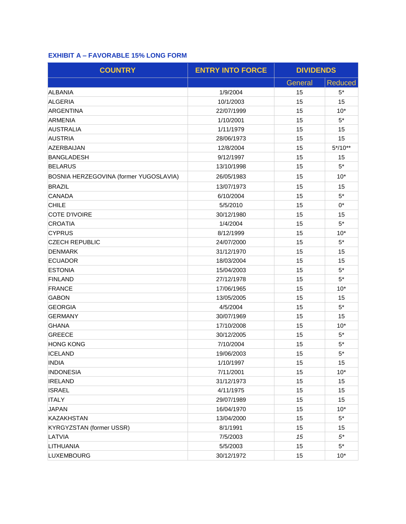## **EXHIBIT A – FAVORABLE 15% LONG FORM**

| <b>COUNTRY</b>                         | <b>ENTRY INTO FORCE</b> | <b>DIVIDENDS</b> |                |
|----------------------------------------|-------------------------|------------------|----------------|
|                                        |                         | General          | <b>Reduced</b> |
| <b>ALBANIA</b>                         | 1/9/2004                | 15               | $5*$           |
| <b>ALGERIA</b>                         | 10/1/2003               | 15               | 15             |
| ARGENTINA                              | 22/07/1999              | 15               | $10*$          |
| <b>ARMENIA</b>                         | 1/10/2001               | 15               | $5^*$          |
| <b>AUSTRALIA</b>                       | 1/11/1979               | 15               | 15             |
| <b>AUSTRIA</b>                         | 28/06/1973              | 15               | 15             |
| <b>AZERBAIJAN</b>                      | 12/8/2004               | 15               | $5*/10**$      |
| <b>BANGLADESH</b>                      | 9/12/1997               | 15               | 15             |
| <b>BELARUS</b>                         | 13/10/1998              | 15               | $5*$           |
| BOSNIA HERZEGOVINA (former YUGOSLAVIA) | 26/05/1983              | 15               | $10*$          |
| <b>BRAZIL</b>                          | 13/07/1973              | 15               | 15             |
| <b>CANADA</b>                          | 6/10/2004               | 15               | $5*$           |
| <b>CHILE</b>                           | 5/5/2010                | 15               | $0^*$          |
| <b>COTE D'IVOIRE</b>                   | 30/12/1980              | 15               | 15             |
| <b>CROATIA</b>                         | 1/4/2004                | 15               | $5*$           |
| <b>CYPRUS</b>                          | 8/12/1999               | 15               | $10*$          |
| <b>CZECH REPUBLIC</b>                  | 24/07/2000              | 15               | $5*$           |
| <b>DENMARK</b>                         | 31/12/1970              | 15               | 15             |
| <b>ECUADOR</b>                         | 18/03/2004              | 15               | 15             |
| <b>ESTONIA</b>                         | 15/04/2003              | 15               | $5*$           |
| <b>FINLAND</b>                         | 27/12/1978              | 15               | $5*$           |
| <b>FRANCE</b>                          | 17/06/1965              | 15               | $10*$          |
| <b>GABON</b>                           | 13/05/2005              | 15               | 15             |
| <b>GEORGIA</b>                         | 4/5/2004                | 15               | $5^*$          |
| <b>GERMANY</b>                         | 30/07/1969              | 15               | 15             |
| <b>GHANA</b>                           | 17/10/2008              | 15               | $10*$          |
| <b>GREECE</b>                          | 30/12/2005              | 15               | $5^*$          |
| <b>HONG KONG</b>                       | 7/10/2004               | 15               | $5*$           |
| <b>ICELAND</b>                         | 19/06/2003              | 15               | $5*$           |
| <b>INDIA</b>                           | 1/10/1997               | 15               | 15             |
| <b>INDONESIA</b>                       | 7/11/2001               | 15               | $10*$          |
| <b>IRELAND</b>                         | 31/12/1973              | 15               | 15             |
| <b>ISRAEL</b>                          | 4/11/1975               | 15               | 15             |
| <b>ITALY</b>                           | 29/07/1989              | 15               | 15             |
| <b>JAPAN</b>                           | 16/04/1970              | 15               | $10*$          |
| <b>KAZAKHSTAN</b>                      | 13/04/2000              | 15               | $5^*$          |
| <b>KYRGYZSTAN (former USSR)</b>        | 8/1/1991                | 15               | 15             |
| LATVIA                                 | 7/5/2003                | 15               | $5^*$          |
| LITHUANIA                              | 5/5/2003                | 15               | $5^*$          |
| <b>LUXEMBOURG</b>                      | 30/12/1972              | 15               | $10*$          |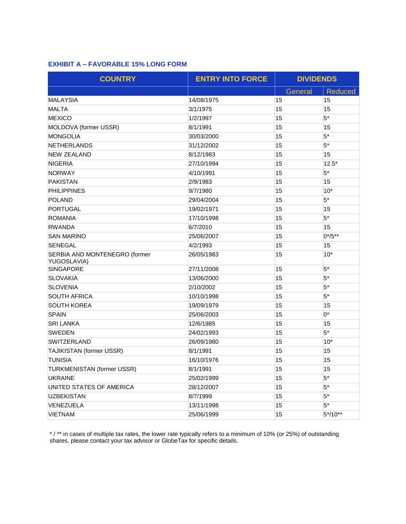### **EXHIBIT A – FAVORABLE 15% LONG FORM**

| <b>COUNTRY</b>                               | <b>ENTRY INTO FORCE</b> | <b>DIVIDENDS</b> |                |
|----------------------------------------------|-------------------------|------------------|----------------|
|                                              |                         | General          | <b>Reduced</b> |
| MALAYSIA                                     | 14/08/1975              | 15               | 15             |
| <b>MALTA</b>                                 | 3/1/1975                | 15               | 15             |
| <b>MEXICO</b>                                | 1/2/1997                | 15               | $5*$           |
| MOLDOVA (former USSR)                        | 8/1/1991                | 15               | 15             |
| <b>MONGOLIA</b>                              | 30/03/2000              | 15               | $5*$           |
| <b>NETHERLANDS</b>                           | 31/12/2002              | 15               | $5*$           |
| <b>NEW ZEALAND</b>                           | 8/12/1983               | 15               | 15             |
| <b>NIGERIA</b>                               | 27/10/1994              | 15               | $12.5*$        |
| <b>NORWAY</b>                                | 4/10/1991               | 15               | $5*$           |
| <b>PAKISTAN</b>                              | 2/9/1983                | 15               | 15             |
| <b>PHILIPPINES</b>                           | 9/7/1980                | 15               | $10*$          |
| POLAND                                       | 29/04/2004              | 15               | $5*$           |
| PORTUGAL                                     | 19/02/1971              | 15               | 15             |
| <b>ROMANIA</b>                               | 17/10/1998              | 15               | $5*$           |
| <b>RWANDA</b>                                | 6/7/2010                | 15               | 15             |
| <b>SAN MARINO</b>                            | 25/06/2007              | 15               | $0^{*/5**}$    |
| <b>SENEGAL</b>                               | 4/2/1993                | 15               | 15             |
| SERBIA AND MONTENEGRO (former<br>YUGOSLAVIA) | 26/05/1983              | 15               | $10*$          |
| <b>SINGAPORE</b>                             | 27/11/2008              | 15               | $5*$           |
| <b>SLOVAKIA</b>                              | 13/06/2000              | 15               | $5*$           |
| <b>SLOVENIA</b>                              | 2/10/2002               | 15               | $5*$           |
| <b>SOUTH AFRICA</b>                          | 10/10/1998              | 15               | $5*$           |
| <b>SOUTH KOREA</b>                           | 19/09/1979              | 15               | 15             |
| <b>SPAIN</b>                                 | 25/06/2003              | 15               | $0^*$          |
| <b>SRI LANKA</b>                             | 12/6/1985               | 15               | 15             |
| <b>SWEDEN</b>                                | 24/02/1993              | 15               | $5*$           |
| SWITZERLAND                                  | 26/09/1980              | 15               | $10*$          |
| TAJIKISTAN (former USSR)                     | 8/1/1991                | 15               | 15             |
| <b>TUNISIA</b>                               | 16/10/1976              | 15               | 15             |
| TURKMENISTAN (former USSR)                   | 8/1/1991                | 15               | 15             |
| UKRAINE                                      | 25/02/1999              | 15               | $5^*$          |
| UNITED STATES OF AMERICA                     | 28/12/2007              | 15               | $5^*$          |
| <b>UZBEKISTAN</b>                            | 8/7/1999                | 15               | $5*$           |
| VENEZUELA                                    | 13/11/1998              | 15               | $5*$           |
| <b>VIETNAM</b>                               | 25/06/1999              | 15               | $5*/10**$      |

\* / \*\* in cases of multiple tax rates, the lower rate typically refers to a minimum of 10% (or 25%) of outstanding shares, please contact your tax advisor or GlobeTax for specific details.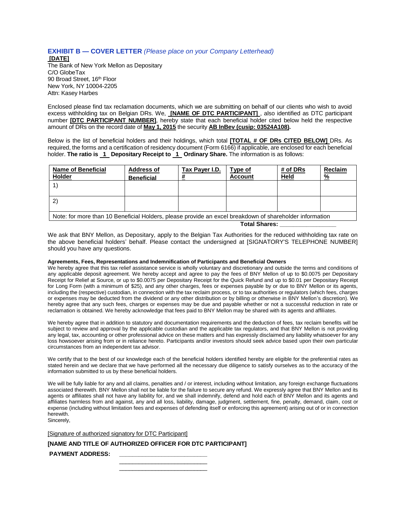## **EXHIBIT B — COVER LETTER** *(Please place on your Company Letterhead)*

**[DATE]** The Bank of New York Mellon as Depositary C/O GlobeTax 90 Broad Street, 16<sup>th</sup> Floor New York, NY 10004-2205 Attn: Kasey Harbes

Enclosed please find tax reclamation documents, which we are submitting on behalf of our clients who wish to avoid excess withholding tax on Belgian DRs. We, **[NAME OF DTC PARTICIPANT]** , also identified as DTC participant number **[DTC PARTICIPANT NUMBER]**, hereby state that each beneficial holder cited below held the respective amount of DRs on the record date of **May 1, 2015** the security **AB InBev (cusip: 03524A108).**

Below is the list of beneficial holders and their holdings, which total **[TOTAL # OF DRs CITED BELOW]** DRs. As required, the forms and a certification of residency document (Form 6166) if applicable, are enclosed for each beneficial holder. **The ratio is 1 Depositary Receipt to 1 Ordinary Share.** The information is as follows:

| <b>Name of Beneficial</b><br><b>Holder</b>                                                              | <b>Address of</b><br><b>Beneficial</b> | Tax Payer I.D. | Type of<br><b>Account</b> | # of DRs<br>Held | Reclaim<br>% |
|---------------------------------------------------------------------------------------------------------|----------------------------------------|----------------|---------------------------|------------------|--------------|
|                                                                                                         |                                        |                |                           |                  |              |
|                                                                                                         |                                        |                |                           |                  |              |
| Note: for more than 10 Beneficial Holders, please provide an excel breakdown of shareholder information |                                        |                |                           |                  |              |

**Total Shares: \_\_\_\_\_\_\_\_\_\_\_\_\_\_\_\_\_**

We ask that BNY Mellon, as Depositary, apply to the Belgian Tax Authorities for the reduced withholding tax rate on the above beneficial holders' behalf. Please contact the undersigned at [SIGNATORY'S TELEPHONE NUMBER] should you have any questions.

#### **Agreements, Fees, Representations and Indemnification of Participants and Beneficial Owners**

We hereby agree that this tax relief assistance service is wholly voluntary and discretionary and outside the terms and conditions of any applicable deposit agreement. We hereby accept and agree to pay the fees of BNY Mellon of up to \$0.0075 per Depositary Receipt for Relief at Source, or up to \$0.0075 per Depositary Receipt for the Quick Refund and up to \$0.01 per Depositary Receipt for Long Form (with a minimum of \$25), and any other charges, fees or expenses payable by or due to BNY Mellon or its agents, including the (respective) custodian, in connection with the tax reclaim process, or to tax authorities or regulators (which fees, charges or expenses may be deducted from the dividend or any other distribution or by billing or otherwise in BNY Mellon's discretion). We hereby agree that any such fees, charges or expenses may be due and payable whether or not a successful reduction in rate or reclamation is obtained. We hereby acknowledge that fees paid to BNY Mellon may be shared with its agents and affiliates.

We hereby agree that in addition to statutory and documentation requirements and the deduction of fees, tax reclaim benefits will be subject to review and approval by the applicable custodian and the applicable tax regulators, and that BNY Mellon is not providing any legal, tax, accounting or other professional advice on these matters and has expressly disclaimed any liability whatsoever for any loss howsoever arising from or in reliance hereto. Participants and/or investors should seek advice based upon their own particular circumstances from an independent tax advisor.

We certify that to the best of our knowledge each of the beneficial holders identified hereby are eligible for the preferential rates as stated herein and we declare that we have performed all the necessary due diligence to satisfy ourselves as to the accuracy of the information submitted to us by these beneficial holders.

We will be fully liable for any and all claims, penalties and / or interest, including without limitation, any foreign exchange fluctuations associated therewith. BNY Mellon shall not be liable for the failure to secure any refund. We expressly agree that BNY Mellon and its agents or affiliates shall not have any liability for, and we shall indemnify, defend and hold each of BNY Mellon and its agents and affiliates harmless from and against, any and all loss, liability, damage, judgment, settlement, fine, penalty, demand, claim, cost or expense (including without limitation fees and expenses of defending itself or enforcing this agreement) arising out of or in connection herewith.

Sincerely,

[Signature of authorized signatory for DTC Participant]

**[NAME AND TITLE OF AUTHORIZED OFFICER FOR DTC PARTICIPANT]**

PAYMENT ADDRESS:

\_\_\_\_\_\_\_\_\_\_\_\_\_\_\_\_\_\_\_\_\_\_\_\_\_\_\_ \_\_\_\_\_\_\_\_\_\_\_\_\_\_\_\_\_\_\_\_\_\_\_\_\_\_\_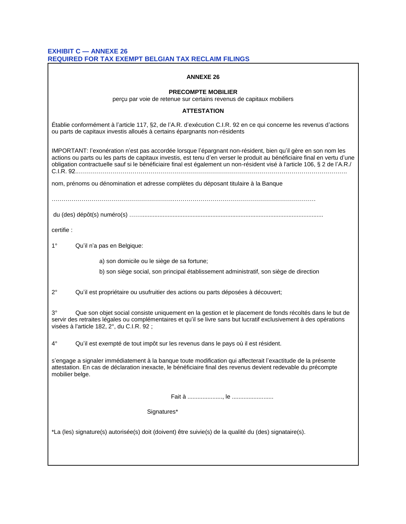#### **EXHIBIT C — ANNEXE 26 REQUIRED FOR TAX EXEMPT BELGIAN TAX RECLAIM FILINGS**

| <b>ANNEXE 26</b>                                                                                                                                                                                                                                                                                                                                                      |  |  |  |
|-----------------------------------------------------------------------------------------------------------------------------------------------------------------------------------------------------------------------------------------------------------------------------------------------------------------------------------------------------------------------|--|--|--|
| <b>PRECOMPTE MOBILIER</b><br>perçu par voie de retenue sur certains revenus de capitaux mobiliers                                                                                                                                                                                                                                                                     |  |  |  |
| <b>ATTESTATION</b>                                                                                                                                                                                                                                                                                                                                                    |  |  |  |
| Établie conformément à l'article 117, §2, de l'A.R. d'exécution C.I.R. 92 en ce qui concerne les revenus d'actions<br>ou parts de capitaux investis alloués à certains épargnants non-résidents                                                                                                                                                                       |  |  |  |
| IMPORTANT: l'exonération n'est pas accordée lorsque l'épargnant non-résident, bien qu'il gère en son nom les<br>actions ou parts ou les parts de capitaux investis, est tenu d'en verser le produit au bénéficiaire final en vertu d'une<br>obligation contractuelle sauf si le bénéficiaire final est également un non-résident visé à l'article 106, § 2 de l'A.R./ |  |  |  |
| nom, prénoms ou dénomination et adresse complètes du déposant titulaire à la Banque                                                                                                                                                                                                                                                                                   |  |  |  |
|                                                                                                                                                                                                                                                                                                                                                                       |  |  |  |
| certifie :                                                                                                                                                                                                                                                                                                                                                            |  |  |  |
| $1^{\circ}$<br>Qu'il n'a pas en Belgique:                                                                                                                                                                                                                                                                                                                             |  |  |  |
| a) son domicile ou le siège de sa fortune;<br>b) son siège social, son principal établissement administratif, son siège de direction                                                                                                                                                                                                                                  |  |  |  |
| $2^{\circ}$<br>Qu'il est propriétaire ou usufruitier des actions ou parts déposées à découvert;                                                                                                                                                                                                                                                                       |  |  |  |
| $3^{\circ}$<br>Que son objet social consiste uniquement en la gestion et le placement de fonds récoltés dans le but de<br>servir des retraites légales ou complémentaires et qu'il se livre sans but lucratif exclusivement à des opérations<br>visées à l'article 182, 2°, du C.I.R. 92 ;                                                                            |  |  |  |
| $4^{\circ}$<br>Qu'il est exempté de tout impôt sur les revenus dans le pays où il est résident.                                                                                                                                                                                                                                                                       |  |  |  |
| s'engage a signaler immédiatement à la banque toute modification qui affecterait l'exactitude de la présente<br>attestation. En cas de déclaration inexacte, le bénéficiaire final des revenus devient redevable du précompte<br>mobilier belge.                                                                                                                      |  |  |  |
|                                                                                                                                                                                                                                                                                                                                                                       |  |  |  |
| Signatures*                                                                                                                                                                                                                                                                                                                                                           |  |  |  |
| *La (les) signature(s) autorisée(s) doit (doivent) être suivie(s) de la qualité du (des) signataire(s).                                                                                                                                                                                                                                                               |  |  |  |
|                                                                                                                                                                                                                                                                                                                                                                       |  |  |  |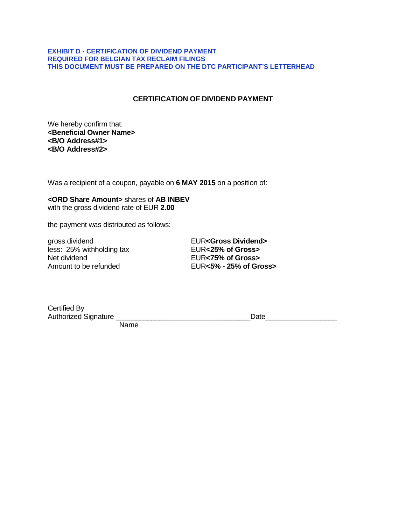#### **EXHIBIT D - CERTIFICATION OF DIVIDEND PAYMENT REQUIRED FOR BELGIAN TAX RECLAIM FILINGS THIS DOCUMENT MUST BE PREPARED ON THE DTC PARTICIPANT'S LETTERHEAD**

### **CERTIFICATION OF DIVIDEND PAYMENT**

We hereby confirm that: **<Beneficial Owner Name> <B/O Address#1> <B/O Address#2>**

Was a recipient of a coupon, payable on **6 MAY 2015** on a position of:

#### **<ORD Share Amount>** shares of **AB INBEV** with the gross dividend rate of EUR **2.00**

the payment was distributed as follows:

gross dividend<br>
less: 25% withholding tax **EUR<25% of Gross>** less: 25% withholding tax Net dividend EUR**<75% of Gross>**

Amount to be refunded EUR**<5% - 25% of Gross>**

| Certified By                |  |
|-----------------------------|--|
| <b>Authorized Signature</b> |  |

 $Date$ 

Name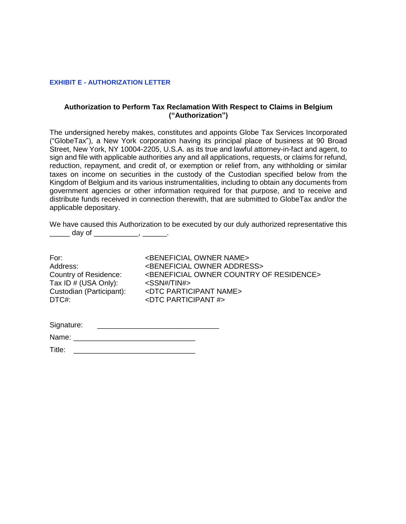#### **EXHIBIT E - AUTHORIZATION LETTER**

#### **Authorization to Perform Tax Reclamation With Respect to Claims in Belgium ("Authorization")**

The undersigned hereby makes, constitutes and appoints Globe Tax Services Incorporated ("GlobeTax"), a New York corporation having its principal place of business at 90 Broad Street, New York, NY 10004-2205, U.S.A. as its true and lawful attorney-in-fact and agent, to sign and file with applicable authorities any and all applications, requests, or claims for refund, reduction, repayment, and credit of, or exemption or relief from, any withholding or similar taxes on income on securities in the custody of the Custodian specified below from the Kingdom of Belgium and its various instrumentalities, including to obtain any documents from government agencies or other information required for that purpose, and to receive and distribute funds received in connection therewith, that are submitted to GlobeTax and/or the applicable depositary.

We have caused this Authorization to be executed by our duly authorized representative this day of  $\qquad \qquad$ 

| For:                     | <beneficial name="" owner=""></beneficial>                       |
|--------------------------|------------------------------------------------------------------|
| Address:                 | <beneficial address="" owner=""></beneficial>                    |
| Country of Residence:    | <beneficial country="" of="" owner="" residence=""></beneficial> |
| Tax ID # (USA Only):     | <ssn# tin#=""></ssn#>                                            |
| Custodian (Participant): | <dtc name="" participant=""></dtc>                               |
| DTC#:                    | $\epsilon$ DTC PARTICIPANT #>                                    |
|                          |                                                                  |

| Signature: |  |
|------------|--|
| Name:      |  |

| Title: |  |
|--------|--|
|        |  |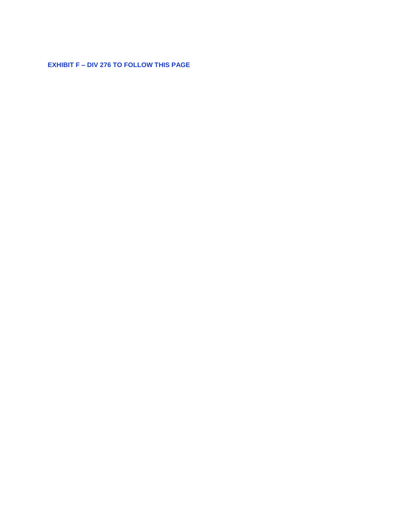**EXHIBIT F - DIV 276 TO FOLLOW THIS PAGE**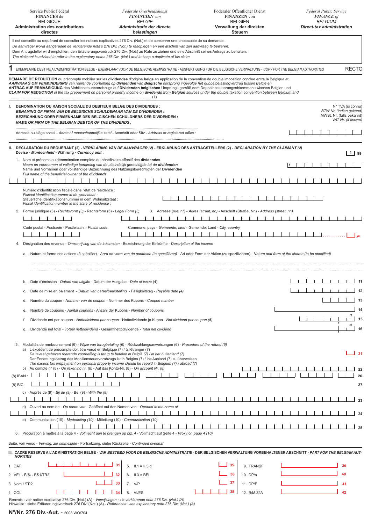| Service Public Fédéral<br><b>FINANCES</b> de<br><b>BELGIQUE</b><br><b>Administration des contributions</b><br>directes                                                                                                                                                                                                                                                                                                                                                                                                                                                                                                                   | Federale Overheidsdienst<br><b>FINANCIEN</b> van<br><b>BELGIE</b><br>Administratie der directe<br>belastingen                                                                                            | Föderaler Öffentlicher Dienst<br><b>FINANZEN</b> von<br><b>BELGIEN</b><br>Verwaltung der direkten<br><b>Steuern</b>                                                                          | <b>Federal Public Service</b><br><b>FINANCE</b> of<br><b>BELGIUM</b><br>Direct-tax administration |
|------------------------------------------------------------------------------------------------------------------------------------------------------------------------------------------------------------------------------------------------------------------------------------------------------------------------------------------------------------------------------------------------------------------------------------------------------------------------------------------------------------------------------------------------------------------------------------------------------------------------------------------|----------------------------------------------------------------------------------------------------------------------------------------------------------------------------------------------------------|----------------------------------------------------------------------------------------------------------------------------------------------------------------------------------------------|---------------------------------------------------------------------------------------------------|
| Il est conseillé au requérant de consulter les notices explicatives 276 Div. (Not.) et de conserver une photocopie de sa demande.<br>De aanvrager wordt aangeraden de verklarende nota's 276 Div. (Not.) te raadplegen en een afschrift van zijn aanvraag te bewaren.<br>Dem Antragsteller wird empfohlen, den Erläuterungsvordruck 276 Div. (Not.) zu Rate zu ziehen und eine Abschrift seines Antrags zu behalten.<br>The claimant is advised to refer to the explanatory notes 276 Div. (Not.) and to keep a duplicate of his claim.                                                                                                  |                                                                                                                                                                                                          |                                                                                                                                                                                              |                                                                                                   |
| EXEMPLAIRE DESTINE A L'ADMINISTRATION BELGE - EXEMPLAAR VOOR DE BELGISCHE ADMINISTRATIE - AUSFERTIGUNG FUR DIE BELGISCHE VERWALTUNG - COPY FOR THE BELGIAN AUTHORITIES                                                                                                                                                                                                                                                                                                                                                                                                                                                                   |                                                                                                                                                                                                          |                                                                                                                                                                                              | <b>RECTO</b>                                                                                      |
| DEMANDE DE REDUCTION du précompte mobilier sur les dividendes d'origine belge en application de la convention de double imposition conclue entre la Belgique et<br>AANVRAAG OM VERMINDERING van roerende voorheffing op dividenden van Belgische oorsprong ingevolge het dubbelbelastingverdrag tussen België en<br>ANTRAG AUF ERMÄSSIGUNG des Mobiliensteuervorabzugs auf Dividenden belgischen Ursprungs gemäß dem Doppelbesteuerungsabkommen zwischen Belgien und<br>CLAIM FOR REDUCTION of the tax prepayment on personal property income on dividends from Belgian sources under the double taxation convention between Belgium and |                                                                                                                                                                                                          |                                                                                                                                                                                              |                                                                                                   |
| DENOMINATION OU RAISON SOCIALE DU DEBITEUR BELGE DES DIVIDENDES :<br>$\mathbf{L}$<br><b>BENAMING OF FIRMA VAN DE BELGISCHE SCHULDENAAR VAN DE DIVIDENDEN :</b><br><b>BEZEICHNUNG ODER FIRMENNAME DES BELGISCHEN SCHULDNERS DER DIVIDENDEN:</b><br>NAME OR FIRM OF THE BELGIAN DEBTOR OF THE DIVIDENDS :                                                                                                                                                                                                                                                                                                                                  |                                                                                                                                                                                                          |                                                                                                                                                                                              | N° TVA (si connu)<br>BTW Nr. (indien gekend)<br>MWSt. Nr. (falls bekannt)<br>VAT Nr. (if known)   |
| Adresse ou siège social - Adres of maatschappelijke zetel - Anschrift oder Sitz - Address or registered office:                                                                                                                                                                                                                                                                                                                                                                                                                                                                                                                          |                                                                                                                                                                                                          |                                                                                                                                                                                              |                                                                                                   |
| DECLARATION DU REQUERANT (2) - VERKLARING VAN DE AANVRAGER (2) - ERKLÄRUNG DES ANTRAGSTELLERS (2) - DECLARATION BY THE CLAIMANT (2)<br>II.<br>Devise - Munteenheid - Währung - Currency unit:                                                                                                                                                                                                                                                                                                                                                                                                                                            |                                                                                                                                                                                                          |                                                                                                                                                                                              | $1$ 99                                                                                            |
| 1. Nom et prénoms ou dénomination complète du bénéficiaire effectif des dividendes<br>Naam en voornamen of volledige benaming van de uiteindelijk gerechtigde tot de dividenden<br>Name und Vornamen oder vollständige Bezeichnung des Nutzungsberechtigten der Dividenden                                                                                                                                                                                                                                                                                                                                                               |                                                                                                                                                                                                          |                                                                                                                                                                                              | 11                                                                                                |
| Full name of the beneficial owner of the dividends                                                                                                                                                                                                                                                                                                                                                                                                                                                                                                                                                                                       |                                                                                                                                                                                                          |                                                                                                                                                                                              |                                                                                                   |
| Numéro d'identification fiscale dans l'état de résidence :<br>Fiscaal identificatienummer in de woonstaat :<br>Steuerliche Identifikationsnummer in dem Wohnsitzstaat :<br>Fiscal identification number in the state of residence :                                                                                                                                                                                                                                                                                                                                                                                                      |                                                                                                                                                                                                          |                                                                                                                                                                                              |                                                                                                   |
| 2. Forme juridique (3) - Rechtsvorm (3) - Rechtsform (3) - Legal Form (3)<br>Code postal - Postcode - Postleitzahl - Postal code                                                                                                                                                                                                                                                                                                                                                                                                                                                                                                         | Commune, pays - Gemeente, land - Gemeinde, Land - City, country                                                                                                                                          | 3. Adresse (rue, n°) - Adres (straat, nr.) - Anschrift (Straße, Nr.) - Address (street, nr.)                                                                                                 |                                                                                                   |
|                                                                                                                                                                                                                                                                                                                                                                                                                                                                                                                                                                                                                                          | Désignation des revenus - Omschrijving van de inkomsten - Bezeichnung der Einkünfte - Description of the income                                                                                          |                                                                                                                                                                                              |                                                                                                   |
|                                                                                                                                                                                                                                                                                                                                                                                                                                                                                                                                                                                                                                          |                                                                                                                                                                                                          | a. Nature et forme des actions (à spécifier) - Aard en vorm van de aandelen (te specifieren) - Art oder Form der Aktien (zu spezifizieren) - Nature and form of the shares (to be specified) |                                                                                                   |
| b. Date d'émission - Datum van uitgifte - Datum der Ausgabe - Date of issue (4)<br>c.                                                                                                                                                                                                                                                                                                                                                                                                                                                                                                                                                    | Date de mise en paiement - Datum van betaalbaarstelling - Fälligkeitstag - Payable date (4)                                                                                                              |                                                                                                                                                                                              |                                                                                                   |
| Numéro du coupon - Nummer van de coupon - Nummer des Kupons - Coupon number<br>d.                                                                                                                                                                                                                                                                                                                                                                                                                                                                                                                                                        |                                                                                                                                                                                                          |                                                                                                                                                                                              |                                                                                                   |
| Nombre de coupons - Aantal coupons - Anzahl der Kupons - Number of coupons<br>е.                                                                                                                                                                                                                                                                                                                                                                                                                                                                                                                                                         |                                                                                                                                                                                                          |                                                                                                                                                                                              |                                                                                                   |
| f.<br>Dividende net total - Totaal nettodividend - Gesamtnettodividende - Total net dividend<br>g.                                                                                                                                                                                                                                                                                                                                                                                                                                                                                                                                       | Dividende net par coupon - Nettodividend per coupon - Nettodividende je Kupon - Net dividend per coupon (5)                                                                                              |                                                                                                                                                                                              | ct                                                                                                |
|                                                                                                                                                                                                                                                                                                                                                                                                                                                                                                                                                                                                                                          |                                                                                                                                                                                                          |                                                                                                                                                                                              |                                                                                                   |
| 5. Modalités de remboursement (6) - Wijze van terugbetaling (6) - Rückzahlungsanweisungen (6) - Procedure of the refund (6)<br>a) L'excédent de précompte doit être versé en Belgique (7) / à l'étranger (7)                                                                                                                                                                                                                                                                                                                                                                                                                             | De teveel geheven roerende voorheffing is terug te betalen in België (7) / in het buitenland (7)<br>Der Erstattungsbetrag des Mobiliensteuervorabzugs ist in Belgien (7) / ins Ausland (7) zu überweisen |                                                                                                                                                                                              | 21                                                                                                |
| b) Au compte $n^{\circ}$ (8) - Op rekening nr. (8) - Auf das Konto-Nr. (8) - On account Nr. (8)                                                                                                                                                                                                                                                                                                                                                                                                                                                                                                                                          | The excess tax prepayment on personal property income should be repaid in Belgium (7) / abroad (7)                                                                                                       |                                                                                                                                                                                              | 26                                                                                                |
| $(8)$ IBAN<br>$(8)$ BIC:                                                                                                                                                                                                                                                                                                                                                                                                                                                                                                                                                                                                                 |                                                                                                                                                                                                          |                                                                                                                                                                                              | 27                                                                                                |
| c) Auprès de $(9)$ - Bij de $(9)$ - Bei $(9)$ - With the $(9)$                                                                                                                                                                                                                                                                                                                                                                                                                                                                                                                                                                           |                                                                                                                                                                                                          |                                                                                                                                                                                              |                                                                                                   |
| d) Ouvert au nom de - Op naam van - Geöffnet auf den Namen von - Opened in the name of                                                                                                                                                                                                                                                                                                                                                                                                                                                                                                                                                   |                                                                                                                                                                                                          |                                                                                                                                                                                              |                                                                                                   |
| e) Communication (10) - Mededeling (10) - Mitteilung (10) - Communication (10)                                                                                                                                                                                                                                                                                                                                                                                                                                                                                                                                                           |                                                                                                                                                                                                          |                                                                                                                                                                                              |                                                                                                   |
| 6.                                                                                                                                                                                                                                                                                                                                                                                                                                                                                                                                                                                                                                       | Procuration à mettre à la page 4 - Volmacht aan te brengen op blz. 4 - Vollmacht auf Seite 4 - Proxy on page 4 (10)                                                                                      |                                                                                                                                                                                              |                                                                                                   |
| Suite, voir verso - Vervolg, zie ommezijde - Fortsetzung, siehe Rückseite - Continued overleaf                                                                                                                                                                                                                                                                                                                                                                                                                                                                                                                                           |                                                                                                                                                                                                          |                                                                                                                                                                                              |                                                                                                   |
| III. CADRE RESERVE A L'ADMINISTRATION BELGE - VAK BESTEMD VOOR DE BELGISCHE ADMINISTRATIE - DER BELGISCHEN VERWALTUNG VORBEHALTENER ABSCHNITT - PART FOR THE BELGIAN AUT-<br><b>HORITIES</b>                                                                                                                                                                                                                                                                                                                                                                                                                                             |                                                                                                                                                                                                          |                                                                                                                                                                                              |                                                                                                   |
| 1. DAT                                                                                                                                                                                                                                                                                                                                                                                                                                                                                                                                                                                                                                   | $5.$ $II.1 = II.5.d$                                                                                                                                                                                     | 35<br>9. TRANSF                                                                                                                                                                              | 39                                                                                                |
| 2. VE1 - F/% - BS1/TR2                                                                                                                                                                                                                                                                                                                                                                                                                                                                                                                                                                                                                   | 32<br>6. $II.3 = BEL$                                                                                                                                                                                    | 36<br>10. DP/n                                                                                                                                                                               | 40                                                                                                |
| 3. Nom 1/TP2                                                                                                                                                                                                                                                                                                                                                                                                                                                                                                                                                                                                                             | 33<br>7. V/P                                                                                                                                                                                             | 37<br>11. DP/F                                                                                                                                                                               |                                                                                                   |
| 4. COL<br>Renvois : voir notice explicative 276 Div. (Not.) (A) - Verwijzingen : zie verklarende nota 276 Div. (Not.) (A)<br>Hinweise : siehe Erläuterungsvordruck 276 Div. (Not.) (A) - References : see explanatory note 276 Div. (Not.) (A)                                                                                                                                                                                                                                                                                                                                                                                           | 8. VI/ES                                                                                                                                                                                                 | 38<br>12. B/M 32A                                                                                                                                                                            | 42                                                                                                |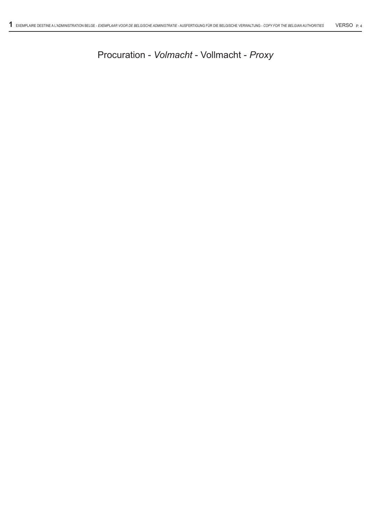| <b>CONTACT DETAILS</b>         |                                       |  |
|--------------------------------|---------------------------------------|--|
| <b>PRIMAR CONTACT</b>          | <b>KASE HARBES</b>                    |  |
| DOMESTIC PHONE / FA (U.S.)     | 1-800-915-3536 / 1-800-985-3536       |  |
| <b>INTERNATIONAL PHONE/ FA</b> | 1-212-747-9100 / 1-212-747-0029       |  |
| <b>EMAIL ADDRESS</b>           | <b>KASEHARBESGLOBETA.COM</b>          |  |
| <b>COMPAN</b>                  | <b>GLOBETA AS AGENT FOR BN MELLON</b> |  |
| <b>STREET ADDRESS</b>          | 90 BROAD STREET 16TH FLOOR            |  |
| CIT/STATE/ZIP                  | <b>NEW ORK, N 10004</b>               |  |
| <b>ADDITIONAL CONTACTS</b>     | <b>ENN LIN</b>                        |  |

BNY Mellon, offers ESP powered by GlobeTax, to simplify the transmission of beneficial holder data. Reuired documentation, as outlined in this Important Notice, must be received by the Depositary before the claim can be considered valid.

These claims should be submitted through the following web site. (Reuires a one time registration) httpsesp.globetax.com

Please contact asey Harbes at 1 800 915 3536 if you have any uestions about this process.

## **PLEASE NOTE :**

WHEN SUBMITTING RELIEF AT SOURCE CLAIMS THROUGH ESP, YOU MUST SELECT THE RELIEF AT SOURCE OPTION AND SUBMIT ALL APPROPRIATE DOCUMENTATION BY THE DEADLINE SET FORTH IN THIS **IMPORTANT NOTICE.** 

SELECTING OPTIONS OTHER THAN RELIEF AT SOURCE, WILL NOT BE CONSIDERED FOR RELIEF AT SOURCE.